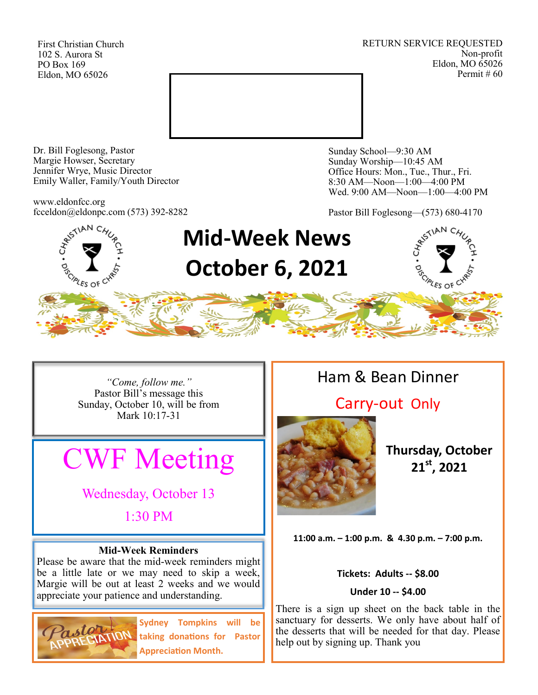First Christian Church 102 S. Aurora St PO Box 169 Eldon, MO 65026

RETURN SERVICE REQUESTED Non-profit Eldon, MO 65026 Permit # 60



Dr. Bill Foglesong, Pastor Margie Howser, Secretary Jennifer Wrye, Music Director Emily Waller, Family/Youth Director

www.eldonfcc.org fcceldon@eldonpc.com (573) 392-8282 Sunday School—9:30 AM Sunday Worship—10:45 AM Office Hours: Mon., Tue., Thur., Fri. 8:30 AM—Noon—1:00—4:00 PM Wed. 9:00 AM—Noon—1:00—4:00 PM

Pastor Bill Foglesong—(573) 680-4170



*"Come, follow me."* Pastor Bill's message this Sunday, October 10, will be from Mark 10:17-31

# CWF Meeting

Wednesday, October 13

1:30 PM

#### **Mid-Week Reminders**

Please be aware that the mid-week reminders might be a little late or we may need to skip a week, Margie will be out at least 2 weeks and we would appreciate your patience and understanding.



**Sydney Tompkins will be taking donations for Pastor Appreciation Month.**

# Ham & Bean Dinner

## Carry-out Only



**Thursday, October 21st, 2021**

**11:00 a.m. – 1:00 p.m. & 4.30 p.m. – 7:00 p.m.**

#### **Tickets: Adults -- \$8.00**

#### **Under 10 -- \$4.00**

There is a sign up sheet on the back table in the sanctuary for desserts. We only have about half of the desserts that will be needed for that day. Please help out by signing up. Thank you